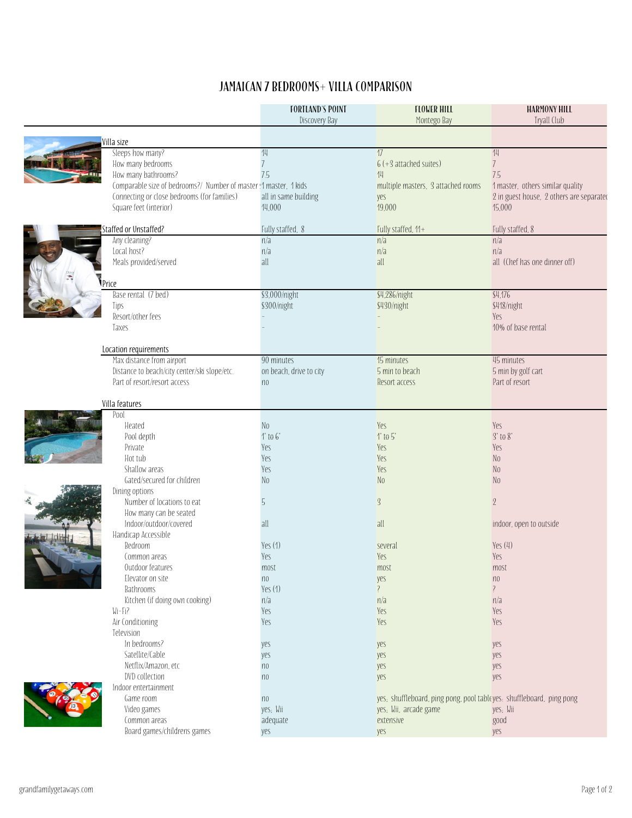## JAMAICAN 7 BEDROOMS+ VILLA COMPARISON

|                                                                  | <b>FORTLAND'S POINT</b> | <b>FLOWER HILL</b>                                                   | <b>HARMONY HILL</b>                      |
|------------------------------------------------------------------|-------------------------|----------------------------------------------------------------------|------------------------------------------|
|                                                                  | Discovery Bay           | Montego Bay                                                          | Tryall Club                              |
| Villa size                                                       |                         |                                                                      |                                          |
| Sleeps how many?                                                 | 14                      | 17                                                                   | 14                                       |
| How many bedrooms                                                | $\overline{1}$          | $6 (+ 3 attached$ suites)                                            | $\overline{7}$                           |
| How many bathrooms?                                              | 7.5                     | 14                                                                   | 7.5                                      |
| Comparable size of bedrooms?/ Number of master: 1 master, 1 kids |                         | multiple masters, 3 attached rooms                                   | 1 master, others similar quality         |
| Connecting or close bedrooms (for families)                      | all in same building    | yes                                                                  | 2 in guest house, 2 others are separated |
| Square feet (interior)                                           | 14,000                  | 19,000                                                               | 15.000                                   |
| Staffed or Unstaffed?                                            | Fully staffed, 8        | Fully staffed, 11+                                                   | Fully staffed, 8                         |
| Any cleaning?                                                    | n/a                     | n/a                                                                  | n/a                                      |
| Local host?                                                      | n/a                     | n/a                                                                  | n/a                                      |
| Meals provided/served                                            | all                     | all                                                                  | all (Chef has one dinner off)            |
|                                                                  |                         |                                                                      |                                          |
| Price                                                            |                         |                                                                      |                                          |
| Base rental (7 bed)                                              | \$3,000/night           | \$4,286/night                                                        | \$4,176                                  |
| Tips                                                             | \$300/night             | \$430/night                                                          | \$418/night                              |
| Resort/other fees                                                |                         |                                                                      | Yes                                      |
| Taxes                                                            |                         |                                                                      | 10% of base rental                       |
| Location requirements                                            |                         |                                                                      |                                          |
| Max distance from airport                                        | 90 minutes              | 15 minutes                                                           | 45 minutes                               |
| Distance to beach/city center/ski slope/etc.                     | on beach, drive to city | 5 min to beach                                                       | 5 min by golf cart                       |
| Part of resort/resort access                                     | n <sub>0</sub>          | Resort access                                                        | Part of resort                           |
|                                                                  |                         |                                                                      |                                          |
| Villa features                                                   |                         |                                                                      |                                          |
| Pool                                                             |                         |                                                                      |                                          |
| Heated                                                           | N <sub>0</sub>          | Yes                                                                  | Yes                                      |
| Pool depth                                                       | $1'$ to $6'$            | $1'$ to $5'$                                                         | $3'$ to $8'$                             |
| Private                                                          | Yes                     | Yes                                                                  | Yes                                      |
| Hot tub                                                          | Yes                     | Yes                                                                  | N <sub>0</sub>                           |
| Shallow areas                                                    | Yes                     | Yes                                                                  | N <sub>0</sub>                           |
| Gated/secured for children                                       | No                      | No                                                                   | N <sub>0</sub>                           |
| Dining options<br>Number of locations to eat                     | 5                       | $\overline{3}$                                                       | $\mathbf{2}$                             |
| How many can be seated                                           |                         |                                                                      |                                          |
| Indoor/outdoor/covered                                           | all                     | all                                                                  | indoor, open to outside                  |
| Handicap Accessible                                              |                         |                                                                      |                                          |
| Bedroom                                                          | Yes $(1)$               | several                                                              | Yes(4)                                   |
| Common areas                                                     | Yes                     | Yes                                                                  | Yes                                      |
| Outdoor features                                                 | most                    | most                                                                 | most                                     |
| Elevator on site                                                 | n <sub>0</sub>          | yes                                                                  | n <sub>0</sub>                           |
| Bathrooms                                                        | Yes (1)                 | $\overline{\mathcal{E}}$                                             | $\overline{\phantom{a}}$                 |
| Kitchen (if doing own cooking)                                   | n/a                     | n/a                                                                  | n/a                                      |
| $Wi-Fi?$                                                         | Yes                     | Yes                                                                  | Yes                                      |
| Air Conditioning                                                 | Yes                     | Yes                                                                  | Yes                                      |
| Television                                                       |                         |                                                                      |                                          |
| In bedrooms?                                                     | yes                     | yes                                                                  | yes                                      |
| Satellite/Cable                                                  | yes                     | yes                                                                  | yes                                      |
| Netflix/Amazon, etc                                              | n <sub>0</sub>          | yes                                                                  | yes                                      |
| DVD collection                                                   | n <sub>0</sub>          | yes                                                                  | yes                                      |
| Indoor entertainment                                             |                         |                                                                      |                                          |
| Game room                                                        | n <sub>0</sub>          | yes, shuffleboard, ping pong, pool tableyes. shuffleboard, ping pong |                                          |
| Video games                                                      | yes; Wii                | yes; Wii, arcade game                                                | yes; Wii                                 |
| Common areas                                                     | adequate                | extensive                                                            | good                                     |
| Board games/childrens games                                      | yes                     | yes                                                                  | yes                                      |
|                                                                  |                         |                                                                      |                                          |